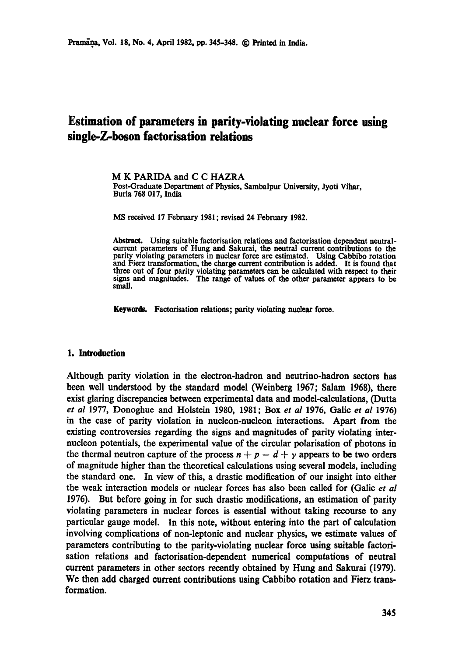# **Estimation of parameters in parity-violating nuclear force using single-Z-boson factorisation relations**

M K PARIDA and C C HAZRA Post-Graduate Department of Physics, Sambalpur University, Jyoti Vihar, Burla 768 017, India

MS received 17 February 1981; revised 24 February 1982.

Abstract. Using suitable factorisation relations and factorisation dependent neutralcurrent parameters of Hung and Sakurai, the neutral current contributions to the parity violating parameters in nuclear force are estimated. Using Cabbibo rotation and Fierz transformation, the charge current contribution is added. It is found that three out of four parity violating parameters can be calculated with respect to their signs and magnitudes. The range of values of the other parameter appears to be small.

Keywords. Factorisation relations; parity violating nuclear force.

#### 1. Introduction

Although parity violation in the electron-hadron and neutrino-hadron sectors has been well understood by the standard model (Weinberg 1967; Salam 1968), there exist glaring discrepancies between experimental data and model-calculations, (Dutta *et al* 1977, Donoghue and Holstein 1980, 1981; Box *et al* 1976, Galic *et al* 1976) in the case of parity violation in nucleon-nucleon interactions. Apart from the existing controversies regarding the signs and magnitudes of parity violating internucleon potentials, the experimental value of the circular polarisation of photons in the thermal neutron capture of the process  $n + p - d + \gamma$  appears to be two orders of magnitude higher than the theoretical calculations using several models, including the standard one. In view of this, a drastic modification of our insight into either the weak interaction models or nuclear forces has also been called for (Galic *et al*  1976). But before going in for such drastic modifications, an estimation of parity violating parameters in nuclear forces is essential without taking recourse to any particular gauge model. In this note, without entering into the part of calculation involving complications of non-leptonic and nuclear physics, we estimate values of parameters contributing to the parity-violating nuclear force using suitable factorisation relations and factorisation-dependent numerical computations of neutral current parameters in other sectors recently obtained by Hung and Sakurai (1979). We then add charged current contributions using Cabbibo rotation and Fierz transformation.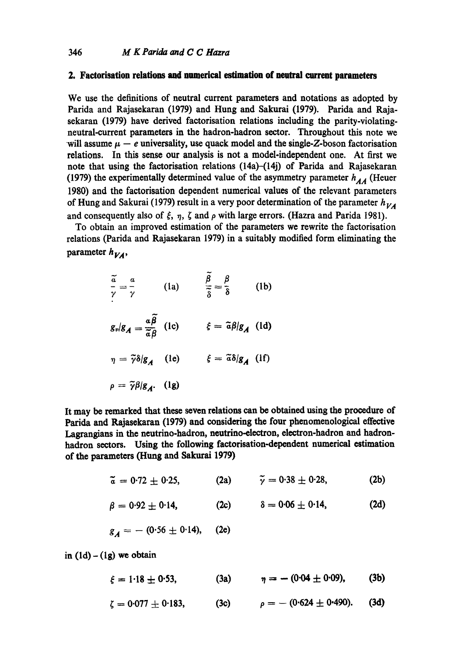## **2. Factorisation relations and numerical estimation of neutral current parameters**

We use the definitions of neutral current parameters and notations as adopted by Parida and Rajasekaran (1979) and Hung and Sakurai (1979). Parida and Rajasekaran (1979) have derived faetorisation relations including the parity-violatingneutral-current parameters in the hadron-hadron sector. Throughout this note we will assume  $\mu-e$  universality, use quack model and the single-Z-boson factorisation relations. In this sense our analysis is not a model-independent one. At first we note that using the factorisation relations (14a)-(14j) of Parida and Rajasekaran (1979) the experimentally determined value of the asymmetry parameter  $h_{AA}$  (Heuer 1980) and the faetorisation dependent numerical values of the relevant parameters of Hung and Sakurai (1979) result in a very poor determination of the parameter  $h_{VA}$ and consequently also of  $\xi$ ,  $\eta$ ,  $\zeta$  and  $\rho$  with large errors. (Hazra and Parida 1981).

To obtain an improved estimation of the parameters we rewrite the faetorisation relations (Parida and Rajasekaran 1979) in a suitably modified form eliminating the parameter  $h_{VA}$ ,

$$
\frac{\tilde{a}}{\gamma} = \frac{a}{\gamma} \qquad \text{(1a)} \qquad \frac{\tilde{\beta}}{\tilde{\delta}} = \frac{\beta}{\delta} \qquad \text{(1b)}
$$
\n
$$
g_{\nu}/g_{A} = \frac{a\tilde{\beta}}{\tilde{a}\beta} \qquad \text{(1c)} \qquad \xi = \tilde{a}\beta/g_{A} \qquad \text{(1d)}
$$
\n
$$
\eta = \tilde{\gamma}\delta/g_{A} \qquad \text{(1e)} \qquad \xi = \tilde{a}\delta/g_{A} \qquad \text{(1f)}
$$
\n
$$
\rho = \tilde{\gamma}\beta/g_{A} \qquad \text{(1g)}
$$

It may be remarked that these seven relations can be obtained using the procedure **of**  Parida and Rajasekaran (1979) and considering the four phenomenological effective Lagrangians in the neutrino-hadron, neutrino-electron, electron-hadron and hadronhadron sectors. Using the following factorisation-dependent numerical estimation of the parameters (Hung and Sakurai 1979)

$$
\tilde{a} = 0.72 \pm 0.25,
$$
 (2a)  $\tilde{\gamma} = 0.38 \pm 0.28,$  (2b)

$$
\beta = 0.92 \pm 0.14, \qquad (2c) \qquad \delta = 0.06 \pm 0.14, \qquad (2d)
$$

$$
g_A = - (0.56 \pm 0.14), \quad (2e)
$$

in  $(1d) - (1g)$  we obtain

 $\xi = 1.18 \pm 0.53,$  (3a)  $\eta = -(0.04 \pm 0.09),$  (3b)

$$
\zeta = 0.077 \pm 0.183, \qquad (3c) \qquad \rho = -(0.624 \pm 0.490). \qquad (3d)
$$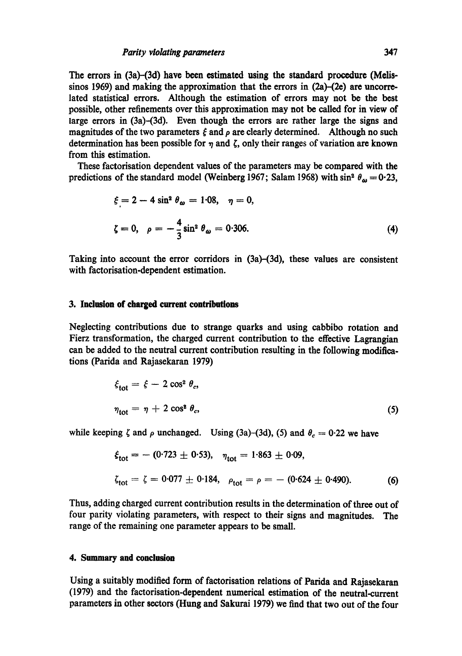The errors in (3a)-(3d) have been estimated using the standard procedure (Melissinos 1969) and making the approximation that the errors in  $(2a)$ - $(2e)$  are uncorrelated statistical errors. Although the estimation of errors may not be the best possible, other refinements over this approximation may not be called for in view of large errors in (3a)-(3d). Even though the errors are rather large the signs and magnitudes of the two parameters  $\xi$  and  $\rho$  are clearly determined. Although no such determination has been possible for  $\eta$  and  $\zeta$ , only their ranges of variation are known from this estimation.

These factorisation dependent values of the parameters may be compared with the predictions of the standard model (Weinberg 1967; Salam 1968) with sin<sup>2</sup>  $\theta_{\omega} = 0.23$ ,

$$
\xi = 2 - 4 \sin^2 \theta_{\omega} = 1.08, \quad \eta = 0,
$$
  

$$
\zeta = 0, \quad \rho = -\frac{4}{3} \sin^2 \theta_{\omega} = 0.306.
$$
 (4)

Taking into account the error corridors in (3a)-(3d), these values are consistent with factorisation-dependent estimation.

#### **3. Inclusion of charged current contributions**

Neglecting contributions due to strange quarks and using cabbibo rotation and Fierz transformation, the charged current contribution to the effective Lagrangian can be added to the neutral current contribution resulting in the following modifications (Parida and Rajasekaran 1979)

$$
\xi_{\text{tot}} = \xi - 2 \cos^2 \theta_c,
$$
  
\n
$$
\eta_{\text{tot}} = \eta + 2 \cos^2 \theta_c,
$$
\n(5)

while keeping  $\zeta$  and  $\rho$  unchanged. Using (3a)-(3d), (5) and  $\theta_c = 0.22$  we have

$$
\xi_{\text{tot}} = -(0.723 \pm 0.53), \quad \eta_{\text{tot}} = 1.863 \pm 0.09,
$$
\n
$$
\zeta_{\text{tot}} = \zeta = 0.077 \pm 0.184, \quad \rho_{\text{tot}} = \rho = -(0.624 \pm 0.490).
$$
\n(6)

Thus, adding charged current contribution results in the determination of three out of four parity violating parameters, with respect to their signs and magnitudes. The range of the remaining one parameter appears to be small.

## **4. Summary and conclusion**

Using a suitably modified form of factorisation relations of Parida and Rajasekaran (1979) and the factorisation-dependent numerical estimation of the neutral-current parameters in other sectors (Hung and Sakurai 1979) we find that two out of the four